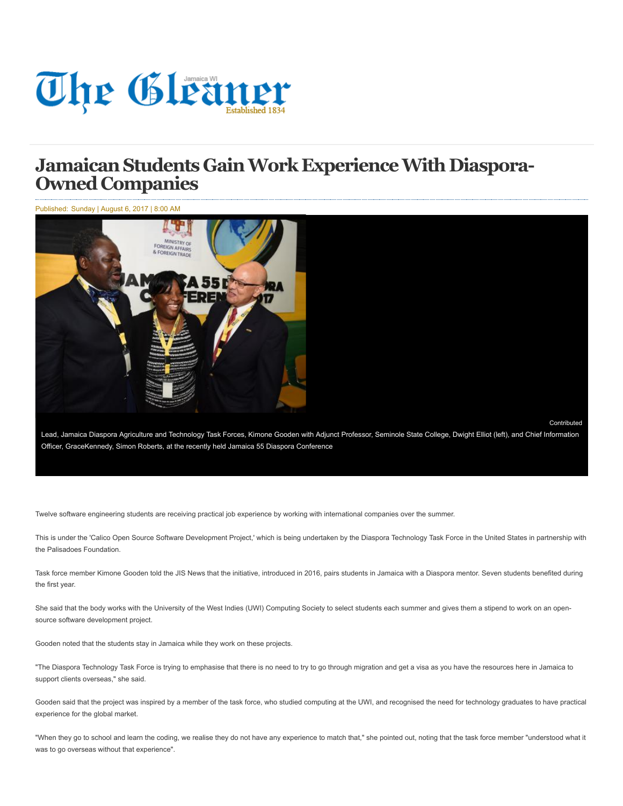

## **JamaicanStudents GainWork ExperienceWith Diaspora- Owned Companies**

Published: Sunday | August 6, 2017 | 8:00 AM



**[Contributed](http://jamaica-gleaner.com/authors/contributed-0)** 

Lead, Jamaica Diaspora Agriculture and Technology Task Forces, Kimone Gooden with Adjunct Professor, Seminole State College, Dwight Elliot (left), and Chief Information Officer, GraceKennedy, Simon Roberts, at the recently held Jamaica 55 Diaspora Conference

Twelve software engineering students are receiving practical job experience by working with international companies over the summer.

This is under the 'Calico Open Source Software Development Project,' which is being undertaken by the Diaspora Technology Task Force in the United States in partnership with the Palisadoes Foundation.

Task force member Kimone Gooden told the JIS News that the initiative, introduced in 2016, pairs students in Jamaica with a Diaspora mentor. Seven students benefited during the first year.

She said that the body works with the University of the West Indies (UWI) Computing Society to select students each summer and gives them a stipend to work on an opensource software development project.

Gooden noted that the students stay in Jamaica while they work on these projects.

"The Diaspora Technology Task Force is trying to emphasise that there is no need to try to go through migration and get a visa as you have the resources here in Jamaica to support clients overseas," she said.

Gooden said that the project was inspired by a member of the task force, who studied computing at the UWI, and recognised the need for technology graduates to have practical experience for the global market.

"When they go to school and learn the coding, we realise they do not have any experience to match that," she pointed out, noting that the task force member "understood what it was to go overseas without that experience".